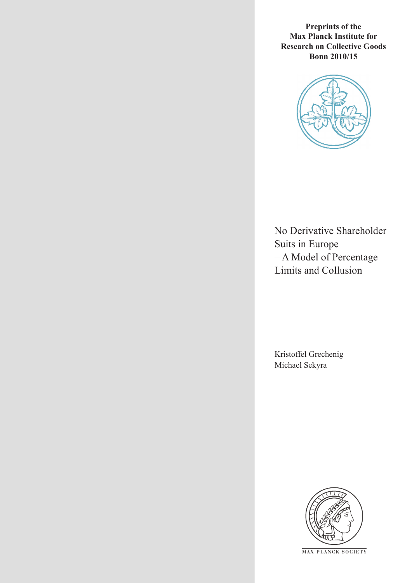**Preprints of the Max Planck Institute for Research on Collective Goods Bonn 2010/15**



No Derivative Shareholder Suits in Europe – A Model of Percentage Limits and Collusion

Kristoffel Grechenig Michael Sekyra



**M AX P L A N C K S O C I E T Y**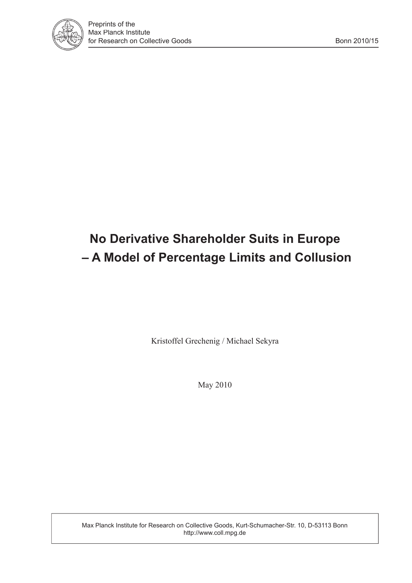

# **No Derivative Shareholder Suits in Europe – A Model of Percentage Limits and Collusion**

Kristoffel Grechenig / Michael Sekyra

May 2010

Max Planck Institute for Research on Collective Goods, Kurt-Schumacher-Str. 10, D-53113 Bonn http://www.coll.mpg.de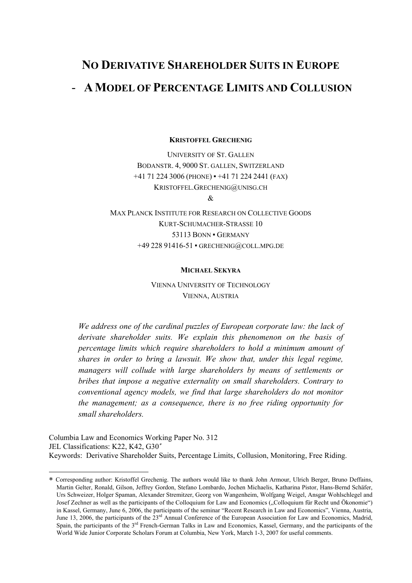# NO DERIVATIVE SHAREHOLDER SUITS IN EUROPE - AMODEL OF PERCENTAGE LIMITS AND COLLUSION

KRISTOFFEL GRECHENIG

UNIVERSITY OF ST. GALLEN BODANSTR. 4, 9000 ST. GALLEN, SWITZERLAND +41 71 224 3006 (PHONE) ▪ +41 71 224 2441 (FAX) KRISTOFFEL.GRECHENIG@UNISG.CH

&

MAX PLANCK INSTITUTE FOR RESEARCH ON COLLECTIVE GOODS KURT-SCHUMACHER-STRASSE 10 53113 BONN ▪ GERMANY +49 228 91416-51 · GRECHENIG@COLL.MPG.DE

#### MICHAEL SEKYRA

VIENNA UNIVERSITY OF TECHNOLOGY VIENNA, AUSTRIA

We address one of the cardinal puzzles of European corporate law: the lack of derivate shareholder suits. We explain this phenomenon on the basis of percentage limits which require shareholders to hold a minimum amount of shares in order to bring a lawsuit. We show that, under this legal regime, managers will collude with large shareholders by means of settlements or bribes that impose a negative externality on small shareholders. Contrary to conventional agency models, we find that large shareholders do not monitor the management; as a consequence, there is no free riding opportunity for small shareholders.

Columbia Law and Economics Working Paper No. 312 JEL Classifications: K22, K42, G30<sup>∗</sup> Keywords: Derivative Shareholder Suits, Percentage Limits, Collusion, Monitoring, Free Riding.

 $\overline{a}$ 

<sup>∗</sup> Corresponding author: Kristoffel Grechenig. The authors would like to thank John Armour, Ulrich Berger, Bruno Deffains, Martin Gelter, Ronald, Gilson, Jeffrey Gordon, Stefano Lombardo, Jochen Michaelis, Katharina Pistor, Hans-Bernd Schäfer, Urs Schweizer, Holger Spaman, Alexander Stremitzer, Georg von Wangenheim, Wolfgang Weigel, Ansgar Wohlschlegel and Josef Zechner as well as the participants of the Colloquium for Law and Economics ("Colloquium für Recht und Ökonomie") in Kassel, Germany, June 6, 2006, the participants of the seminar "Recent Research in Law and Economics", Vienna, Austria, June 13, 2006, the participants of the 23<sup>rd</sup> Annual Conference of the European Association for Law and Economics, Madrid, Spain, the participants of the 3<sup>rd</sup> French-German Talks in Law and Economics, Kassel, Germany, and the participants of the World Wide Junior Corporate Scholars Forum at Columbia, New York, March 1-3, 2007 for useful comments.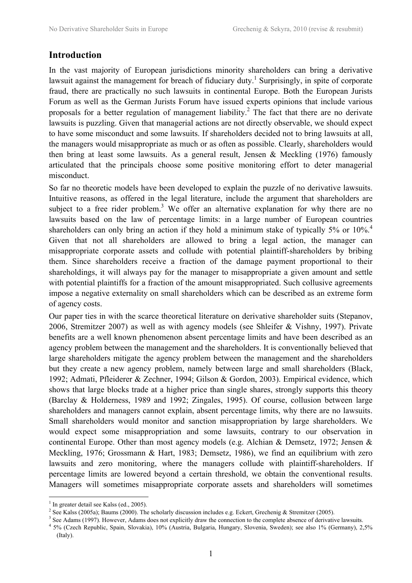## Introduction

In the vast majority of European jurisdictions minority shareholders can bring a derivative lawsuit against the management for breach of fiduciary duty.<sup>1</sup> Surprisingly, in spite of corporate fraud, there are practically no such lawsuits in continental Europe. Both the European Jurists Forum as well as the German Jurists Forum have issued experts opinions that include various proposals for a better regulation of management liability.<sup>2</sup> The fact that there are no derivate lawsuits is puzzling. Given that managerial actions are not directly observable, we should expect to have some misconduct and some lawsuits. If shareholders decided not to bring lawsuits at all, the managers would misappropriate as much or as often as possible. Clearly, shareholders would then bring at least some lawsuits. As a general result, Jensen  $\&$  Meckling (1976) famously articulated that the principals choose some positive monitoring effort to deter managerial misconduct.

So far no theoretic models have been developed to explain the puzzle of no derivative lawsuits. Intuitive reasons, as offered in the legal literature, include the argument that shareholders are subject to a free rider problem.<sup>3</sup> We offer an alternative explanation for why there are no lawsuits based on the law of percentage limits: in a large number of European countries shareholders can only bring an action if they hold a minimum stake of typically  $5\%$  or  $10\%$ <sup>4</sup> Given that not all shareholders are allowed to bring a legal action, the manager can misappropriate corporate assets and collude with potential plaintiff-shareholders by bribing them. Since shareholders receive a fraction of the damage payment proportional to their shareholdings, it will always pay for the manager to misappropriate a given amount and settle with potential plaintiffs for a fraction of the amount misappropriated. Such collusive agreements impose a negative externality on small shareholders which can be described as an extreme form of agency costs.

Our paper ties in with the scarce theoretical literature on derivative shareholder suits (Stepanov, 2006, Stremitzer 2007) as well as with agency models (see Shleifer & Vishny, 1997). Private benefits are a well known phenomenon absent percentage limits and have been described as an agency problem between the management and the shareholders. It is conventionally believed that large shareholders mitigate the agency problem between the management and the shareholders but they create a new agency problem, namely between large and small shareholders (Black, 1992; Admati, Pfleiderer & Zechner, 1994; Gilson & Gordon, 2003). Empirical evidence, which shows that large blocks trade at a higher price than single shares, strongly supports this theory (Barclay & Holderness, 1989 and 1992; Zingales, 1995). Of course, collusion between large shareholders and managers cannot explain, absent percentage limits, why there are no lawsuits. Small shareholders would monitor and sanction misappropriation by large shareholders. We would expect some misappropriation and some lawsuits, contrary to our observation in continental Europe. Other than most agency models (e.g. Alchian & Demsetz, 1972; Jensen & Meckling, 1976; Grossmann & Hart, 1983; Demsetz, 1986), we find an equilibrium with zero lawsuits and zero monitoring, where the managers collude with plaintiff-shareholders. If percentage limits are lowered beyond a certain threshold, we obtain the conventional results. Managers will sometimes misappropriate corporate assets and shareholders will sometimes

 $\overline{a}$ 

<sup>&</sup>lt;sup>1</sup> In greater detail see Kalss (ed., 2005).

<sup>&</sup>lt;sup>2</sup> See Kalss (2005a); Baums (2000). The scholarly discussion includes e.g. Eckert, Grechenig & Stremitzer (2005).

<sup>&</sup>lt;sup>3</sup> See Adams (1997). However, Adams does not explicitly draw the connection to the complete absence of derivative lawsuits.

<sup>4</sup> 5% (Czech Republic, Spain, Slovakia), 10% (Austria, Bulgaria, Hungary, Slovenia, Sweden); see also 1% (Germany), 2,5% (Italy).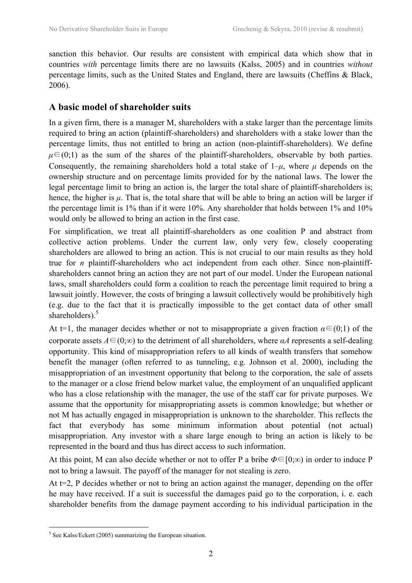sanction this behavior. Our results are consistent with empirical data which show that in countries with percentage limits there are no lawsuits (Kalss, 2005) and in countries without percentage limits, such as the United States and England, there are lawsuits (Cheffins & Black, 2006).

## A basic model of shareholder suits

In a given firm, there is a manager M, shareholders with a stake larger than the percentage limits required to bring an action (plaintiff-shareholders) and shareholders with a stake lower than the percentage limits, thus not entitled to bring an action (non-plaintiff-shareholders). We define  $\mu \in (0,1)$  as the sum of the shares of the plaintiff-shareholders, observable by both parties. Consequently, the remaining shareholders hold a total stake of  $1-\mu$ , where  $\mu$  depends on the ownership structure and on percentage limits provided for by the national laws. The lower the legal percentage limit to bring an action is, the larger the total share of plaintiff-shareholders is; hence, the higher is  $\mu$ . That is, the total share that will be able to bring an action will be larger if the percentage limit is 1% than if it were 10%. Any shareholder that holds between 1% and 10% would only be allowed to bring an action in the first case.

For simplification, we treat all plaintiff-shareholders as one coalition P and abstract from collective action problems. Under the current law, only very few, closely cooperating shareholders are allowed to bring an action. This is not crucial to our main results as they hold true for n plaintiff-shareholders who act independent from each other. Since non-plaintiffshareholders cannot bring an action they are not part of our model. Under the European national laws, small shareholders could form a coalition to reach the percentage limit required to bring a lawsuit jointly. However, the costs of bringing a lawsuit collectively would be prohibitively high (e.g. due to the fact that it is practically impossible to the get contact data of other small shareholders).<sup>5</sup>

At t=1, the manager decides whether or not to misappropriate a given fraction  $\alpha \in (0,1)$  of the corporate assets  $A \in (0;\infty)$  to the detriment of all shareholders, where  $\alpha A$  represents a self-dealing opportunity. This kind of misappropriation refers to all kinds of wealth transfers that somehow benefit the manager (often referred to as tunneling, e.g. Johnson et al. 2000), including the misappropriation of an investment opportunity that belong to the corporation, the sale of assets to the manager or a close friend below market value, the employment of an unqualified applicant who has a close relationship with the manager, the use of the staff car for private purposes. We assume that the opportunity for misappropriating assets is common knowledge; but whether or not M has actually engaged in misappropriation is unknown to the shareholder. This reflects the fact that everybody has some minimum information about potential (not actual) misappropriation. Any investor with a share large enough to bring an action is likely to be represented in the board and thus has direct access to such information.

At this point. M can also decide whether or not to offer P a bribe  $\Phi \in [0;\infty)$  in order to induce P not to bring a lawsuit. The payoff of the manager for not stealing is zero.

At t=2, P decides whether or not to bring an action against the manager, depending on the offer he may have received. If a suit is successful the damages paid go to the corporation, i. e. each shareholder benefits from the damage payment according to his individual participation in the

 $\overline{a}$  $<sup>5</sup>$  See Kalss/Eckert (2005) summarizing the European situation.</sup>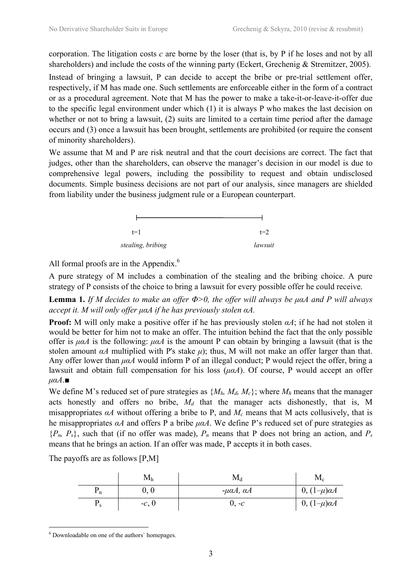corporation. The litigation costs  $c$  are borne by the loser (that is, by P if he loses and not by all shareholders) and include the costs of the winning party (Eckert, Grechenig & Stremitzer, 2005).

Instead of bringing a lawsuit, P can decide to accept the bribe or pre-trial settlement offer, respectively, if M has made one. Such settlements are enforceable either in the form of a contract or as a procedural agreement. Note that M has the power to make a take-it-or-leave-it-offer due to the specific legal environment under which (1) it is always P who makes the last decision on whether or not to bring a lawsuit, (2) suits are limited to a certain time period after the damage occurs and (3) once a lawsuit has been brought, settlements are prohibited (or require the consent of minority shareholders).

We assume that M and P are risk neutral and that the court decisions are correct. The fact that judges, other than the shareholders, can observe the manager's decision in our model is due to comprehensive legal powers, including the possibility to request and obtain undisclosed documents. Simple business decisions are not part of our analysis, since managers are shielded from liability under the business judgment rule or a European counterpart.



All formal proofs are in the Appendix.<sup>6</sup>

A pure strategy of M includes a combination of the stealing and the bribing choice. A pure strategy of P consists of the choice to bring a lawsuit for every possible offer he could receive.

**Lemma 1.** If M decides to make an offer  $Φ>0$ , the offer will always be μαA and P will always accept it. M will only offer µαA if he has previously stolen αA.

**Proof:** M will only make a positive offer if he has previously stolen  $\alpha A$ ; if he had not stolen it would be better for him not to make an offer. The intuition behind the fact that the only possible offer is  $\mu\alpha A$  is the following:  $\mu\alpha A$  is the amount P can obtain by bringing a lawsuit (that is the stolen amount  $\alpha A$  multiplied with P's stake  $\mu$ ); thus, M will not make an offer larger than that. Any offer lower than  $\mu\alpha A$  would inform P of an illegal conduct; P would reject the offer, bring a lawsuit and obtain full compensation for his loss  $(\mu \alpha A)$ . Of course, P would accept an offer  $\mu \alpha A.$ 

We define M's reduced set of pure strategies as  $\{M_h, M_d, M_c\}$ ; where  $M_h$  means that the manager acts honestly and offers no bribe,  $M_d$  that the manager acts dishonestly, that is, M misappropriates  $\alpha A$  without offering a bribe to P, and  $M_c$  means that M acts collusively, that is he misappropriates  $\alpha A$  and offers P a bribe  $\mu \alpha A$ . We define P's reduced set of pure strategies as  ${P_n, P_s}$ , such that (if no offer was made),  $P_n$  means that P does not bring an action, and  $P_s$ means that he brings an action. If an offer was made, P accepts it in both cases.

The payoffs are as follows [P,M]

|                | ⊥∨⊥ի    | $\mathbf{M}_{\mathrm{d}}$ | $M_{\rm c}$          |
|----------------|---------|---------------------------|----------------------|
| ⊥ո             | 0,0     | $-μαA, αA$                | $0, (1-\mu)\alpha A$ |
| $\mathbf{r}$ s | $-c, 0$ | $J - c$                   | $0, (1-\mu)\alpha A$ |

 $\overline{a}$ 6 Downloadable on one of the authors` homepages.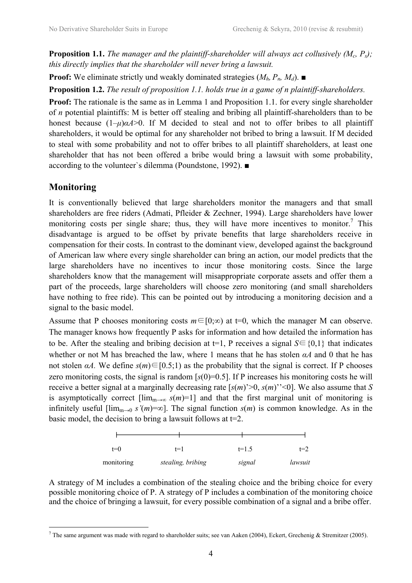**Proposition 1.1.** The manager and the plaintiff-shareholder will always act collusively  $(M_c, P_s)$ ; this directly implies that the shareholder will never bring a lawsuit.

**Proof:** We eliminate strictly und weakly dominated strategies  $(M_h, P_h, M_d)$ .

Proposition 1.2. The result of proposition 1.1. holds true in a game of n plaintiff-shareholders.

Proof: The rationale is the same as in Lemma 1 and Proposition 1.1. for every single shareholder of n potential plaintiffs: M is better off stealing and bribing all plaintiff-shareholders than to be honest because  $(1-\mu)\alpha A>0$ . If M decided to steal and not to offer bribes to all plaintiff shareholders, it would be optimal for any shareholder not bribed to bring a lawsuit. If M decided to steal with some probability and not to offer bribes to all plaintiff shareholders, at least one shareholder that has not been offered a bribe would bring a lawsuit with some probability, according to the volunteer`s dilemma (Poundstone, 1992). ■

## Monitoring

 $\overline{a}$ 

It is conventionally believed that large shareholders monitor the managers and that small shareholders are free riders (Admati, Pfleider & Zechner, 1994). Large shareholders have lower monitoring costs per single share; thus, they will have more incentives to monitor.<sup>7</sup> This disadvantage is argued to be offset by private benefits that large shareholders receive in compensation for their costs. In contrast to the dominant view, developed against the background of American law where every single shareholder can bring an action, our model predicts that the large shareholders have no incentives to incur those monitoring costs. Since the large shareholders know that the management will misappropriate corporate assets and offer them a part of the proceeds, large shareholders will choose zero monitoring (and small shareholders have nothing to free ride). This can be pointed out by introducing a monitoring decision and a signal to the basic model.

Assume that P chooses monitoring costs  $m \in [0;\infty)$  at t=0, which the manager M can observe. The manager knows how frequently P asks for information and how detailed the information has to be. After the stealing and bribing decision at  $t=1$ , P receives a signal  $S \in \{0,1\}$  that indicates whether or not M has breached the law, where 1 means that he has stolen  $\alpha A$  and 0 that he has not stolen  $\alpha A$ . We define  $s(m) \in [0.5,1)$  as the probability that the signal is correct. If P chooses zero monitoring costs, the signal is random  $[s(0)=0.5]$ . If P increases his monitoring costs he will receive a better signal at a marginally decreasing rate  $[s(m)^{>0}, s(m)^{>0}]$ . We also assume that S is asymptotically correct  $\lim_{m\to\infty} s(m)=1$  and that the first marginal unit of monitoring is infinitely useful  $\lim_{m\to 0} s'(m)=\infty$ . The signal function  $s(m)$  is common knowledge. As in the basic model, the decision to bring a lawsuit follows at  $t=2$ .

| $t=0$      | $t=1$             | $t=1.5$ | $t=2$   |
|------------|-------------------|---------|---------|
| monitoring | stealing, bribing | signal  | lawsuit |

A strategy of M includes a combination of the stealing choice and the bribing choice for every possible monitoring choice of P. A strategy of P includes a combination of the monitoring choice and the choice of bringing a lawsuit, for every possible combination of a signal and a bribe offer.

<sup>&</sup>lt;sup>7</sup> The same argument was made with regard to shareholder suits; see van Aaken (2004), Eckert, Grechenig & Stremitzer (2005).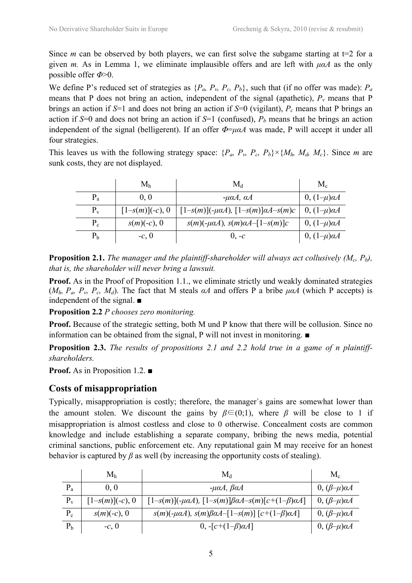Since *m* can be observed by both players, we can first solve the subgame starting at  $t=2$  for a given m. As in Lemma 1, we eliminate implausible offers and are left with  $\mu\alpha A$  as the only possible offer  $\Phi$  >0.

We define P's reduced set of strategies as  $\{P_a, P_v, P_c, P_b\}$ , such that (if no offer was made):  $P_a$ means that P does not bring an action, independent of the signal (apathetic),  $P_v$  means that P brings an action if  $S=1$  and does not bring an action if  $S=0$  (vigilant),  $P_c$  means that P brings an action if S=0 and does not bring an action if S=1 (confused),  $P_b$  means that he brings an action independent of the signal (belligerent). If an offer  $\Phi = \mu \alpha A$  was made, P will accept it under all four strategies.

This leaves us with the following strategy space:  $\{P_a, P_v, P_c, P_b\} \times \{M_h, M_d, M_c\}$ . Since *m* are sunk costs, they are not displayed.

|                | M <sub>h</sub>     | $\rm M_d$                                         | $M_{c}$              |
|----------------|--------------------|---------------------------------------------------|----------------------|
| $P_{a}$        | 0, 0               | $-\mu\alpha A$ , $\alpha A$                       | $0, (1-\mu)\alpha A$ |
| $P_v$          | $[1-s(m)](-c)$ , 0 | $[1-s(m)](-\mu\alpha A), [1-s(m)]\alpha A-s(m)c$  | $0, (1-\mu)\alpha A$ |
| $P_c$          | $s(m)(-c)$ , 0     | $s(m)(-\mu\alpha A)$ , $s(m)\alpha A - [1-s(m)]c$ | $0, (1-\mu)\alpha A$ |
| P <sub>b</sub> | $-c, 0$            | $0. -c$                                           | $0, (1-\mu)\alpha A$ |

**Proposition 2.1.** The manager and the plaintiff-shareholder will always act collusively  $(M_c, P_b)$ , that is, the shareholder will never bring a lawsuit.

Proof. As in the Proof of Proposition 1.1., we eliminate strictly und weakly dominated strategies ( $M_h$ ,  $P_a$ ,  $P_v$ ,  $P_c$ ,  $M_d$ ). The fact that M steals  $\alpha A$  and offers P a bribe  $\mu \alpha A$  (which P accepts) is independent of the signal. ■

Proposition 2.2 P chooses zero monitoring.

Proof. Because of the strategic setting, both M und P know that there will be collusion. Since no information can be obtained from the signal, P will not invest in monitoring. ■

Proposition 2.3. The results of propositions 2.1 and 2.2 hold true in a game of n plaintiffshareholders.

Proof. As in Proposition 1.2. ■

## Costs of misappropriation

Typically, misappropriation is costly; therefore, the manager`s gains are somewhat lower than the amount stolen. We discount the gains by  $\beta \in (0,1)$ , where  $\beta$  will be close to 1 if misappropriation is almost costless and close to 0 otherwise. Concealment costs are common knowledge and include establishing a separate company, bribing the news media, potential criminal sanctions, public enforcement etc. Any reputational gain M may receive for an honest behavior is captured by  $\beta$  as well (by increasing the opportunity costs of stealing).

|         | $M_h$              | $M_d$                                                                  | $M_{c}$                  |
|---------|--------------------|------------------------------------------------------------------------|--------------------------|
| $P_{a}$ | 0.0                | $-\mu\alpha A$ , $\beta\alpha A$                                       | $0, (\beta-\mu)\alpha A$ |
| $P_v$   | $[1-s(m)](-c)$ , 0 | [1-s(m)](-μαA), [1-s(m)]βαA-s(m)[c+(1-β)αA]                            | $0, (\beta-\mu)\alpha A$ |
| $P_c$   | $s(m)(-c)$ , 0     | $s(m)(-\mu\alpha A), s(m)\beta\alpha A-[1-s(m)] [c+(1-\beta)\alpha A]$ | $0, (\beta-\mu)\alpha A$ |
| $P_b$   | $-c, 0$            | 0, $-c+(1-\beta)\alpha A$ ]                                            | $0, (\beta-\mu)\alpha A$ |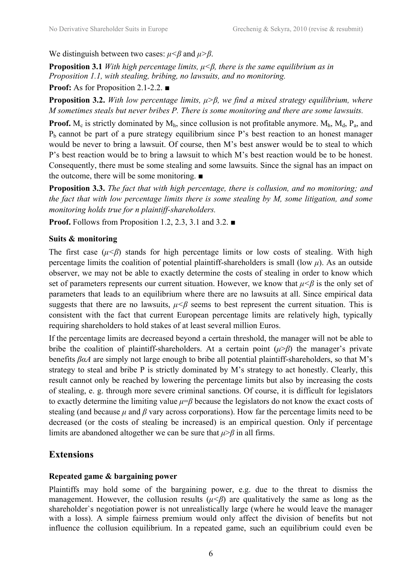We distinguish between two cases:  $\mu < \beta$  and  $\mu > \beta$ .

**Proposition 3.1** With high percentage limits,  $\mu < \beta$ , there is the same equilibrium as in Proposition 1.1, with stealing, bribing, no lawsuits, and no monitoring. Proof: As for Proposition 2.1-2.2. ■

**Proposition 3.2.** With low percentage limits,  $\mu > \beta$ , we find a mixed strategy equilibrium, where M sometimes steals but never bribes P. There is some monitoring and there are some lawsuits.

**Proof.**  $M_c$  is strictly dominated by  $M_h$ , since collusion is not profitable anymore.  $M_h$ ,  $M_d$ ,  $P_a$ , and  $P_b$  cannot be part of a pure strategy equilibrium since P's best reaction to an honest manager would be never to bring a lawsuit. Of course, then M's best answer would be to steal to which P's best reaction would be to bring a lawsuit to which M's best reaction would be to be honest. Consequently, there must be some stealing and some lawsuits. Since the signal has an impact on the outcome, there will be some monitoring. ■

Proposition 3.3. The fact that with high percentage, there is collusion, and no monitoring; and the fact that with low percentage limits there is some stealing by M, some litigation, and some monitoring holds true for n plaintiff-shareholders.

Proof. Follows from Proposition 1.2, 2.3, 3.1 and 3.2. ■

#### Suits & monitoring

The first case ( $\mu < \beta$ ) stands for high percentage limits or low costs of stealing. With high percentage limits the coalition of potential plaintiff-shareholders is small (low  $\mu$ ). As an outside observer, we may not be able to exactly determine the costs of stealing in order to know which set of parameters represents our current situation. However, we know that  $\mu < \beta$  is the only set of parameters that leads to an equilibrium where there are no lawsuits at all. Since empirical data suggests that there are no lawsuits,  $\mu < \beta$  seems to best represent the current situation. This is consistent with the fact that current European percentage limits are relatively high, typically requiring shareholders to hold stakes of at least several million Euros.

If the percentage limits are decreased beyond a certain threshold, the manager will not be able to bribe the coalition of plaintiff-shareholders. At a certain point  $(\mu > \beta)$  the manager's private benefits  $\beta \alpha A$  are simply not large enough to bribe all potential plaintiff-shareholders, so that M's strategy to steal and bribe P is strictly dominated by M's strategy to act honestly. Clearly, this result cannot only be reached by lowering the percentage limits but also by increasing the costs of stealing, e. g. through more severe criminal sanctions. Of course, it is difficult for legislators to exactly determine the limiting value  $\mu = \beta$  because the legislators do not know the exact costs of stealing (and because  $\mu$  and  $\beta$  vary across corporations). How far the percentage limits need to be decreased (or the costs of stealing be increased) is an empirical question. Only if percentage limits are abandoned altogether we can be sure that  $\mu > \beta$  in all firms.

### Extensions

#### Repeated game & bargaining power

Plaintiffs may hold some of the bargaining power, e.g. due to the threat to dismiss the management. However, the collusion results  $(\mu < \beta)$  are qualitatively the same as long as the shareholder`s negotiation power is not unrealistically large (where he would leave the manager with a loss). A simple fairness premium would only affect the division of benefits but not influence the collusion equilibrium. In a repeated game, such an equilibrium could even be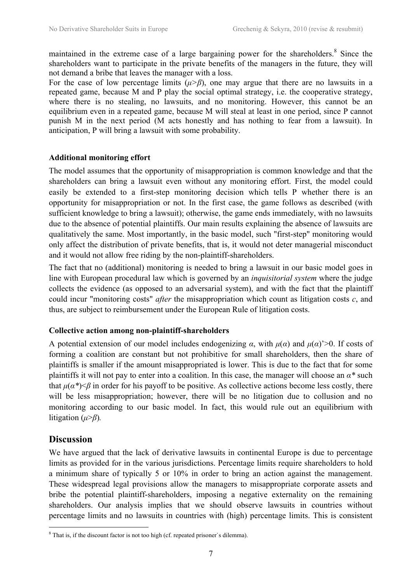maintained in the extreme case of a large bargaining power for the shareholders.<sup>8</sup> Since the shareholders want to participate in the private benefits of the managers in the future, they will not demand a bribe that leaves the manager with a loss.

For the case of low percentage limits ( $\mu > \beta$ ), one may argue that there are no lawsuits in a repeated game, because M and P play the social optimal strategy, i.e. the cooperative strategy, where there is no stealing, no lawsuits, and no monitoring. However, this cannot be an equilibrium even in a repeated game, because M will steal at least in one period, since P cannot punish M in the next period (M acts honestly and has nothing to fear from a lawsuit). In anticipation, P will bring a lawsuit with some probability.

#### Additional monitoring effort

The model assumes that the opportunity of misappropriation is common knowledge and that the shareholders can bring a lawsuit even without any monitoring effort. First, the model could easily be extended to a first-step monitoring decision which tells P whether there is an opportunity for misappropriation or not. In the first case, the game follows as described (with sufficient knowledge to bring a lawsuit); otherwise, the game ends immediately, with no lawsuits due to the absence of potential plaintiffs. Our main results explaining the absence of lawsuits are qualitatively the same. Most importantly, in the basic model, such "first-step" monitoring would only affect the distribution of private benefits, that is, it would not deter managerial misconduct and it would not allow free riding by the non-plaintiff-shareholders.

The fact that no (additional) monitoring is needed to bring a lawsuit in our basic model goes in line with European procedural law which is governed by an inquisitorial system where the judge collects the evidence (as opposed to an adversarial system), and with the fact that the plaintiff could incur "monitoring costs" *after* the misappropriation which count as litigation costs  $c$ , and thus, are subject to reimbursement under the European Rule of litigation costs.

#### Collective action among non-plaintiff-shareholders

A potential extension of our model includes endogenizing  $\alpha$ , with  $\mu(\alpha)$  and  $\mu(\alpha)$ '>0. If costs of forming a coalition are constant but not prohibitive for small shareholders, then the share of plaintiffs is smaller if the amount misappropriated is lower. This is due to the fact that for some plaintiffs it will not pay to enter into a coalition. In this case, the manager will choose an  $\alpha^*$  such that  $\mu(\alpha^*) \leq \beta$  in order for his payoff to be positive. As collective actions become less costly, there will be less misappropriation; however, there will be no litigation due to collusion and no monitoring according to our basic model. In fact, this would rule out an equilibrium with litigation ( $\mu > \beta$ ).

### **Discussion**

 $\overline{a}$ 

We have argued that the lack of derivative lawsuits in continental Europe is due to percentage limits as provided for in the various jurisdictions. Percentage limits require shareholders to hold a minimum share of typically 5 or 10% in order to bring an action against the management. These widespread legal provisions allow the managers to misappropriate corporate assets and bribe the potential plaintiff-shareholders, imposing a negative externality on the remaining shareholders. Our analysis implies that we should observe lawsuits in countries without percentage limits and no lawsuits in countries with (high) percentage limits. This is consistent

 $8$  That is, if the discount factor is not too high (cf. repeated prisoner's dilemma).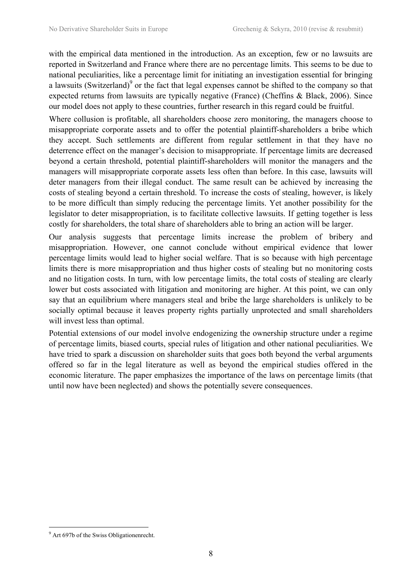with the empirical data mentioned in the introduction. As an exception, few or no lawsuits are reported in Switzerland and France where there are no percentage limits. This seems to be due to national peculiarities, like a percentage limit for initiating an investigation essential for bringing a lawsuits (Switzerland) $\degree$  or the fact that legal expenses cannot be shifted to the company so that expected returns from lawsuits are typically negative (France) (Cheffins & Black, 2006). Since our model does not apply to these countries, further research in this regard could be fruitful.

Where collusion is profitable, all shareholders choose zero monitoring, the managers choose to misappropriate corporate assets and to offer the potential plaintiff-shareholders a bribe which they accept. Such settlements are different from regular settlement in that they have no deterrence effect on the manager's decision to misappropriate. If percentage limits are decreased beyond a certain threshold, potential plaintiff-shareholders will monitor the managers and the managers will misappropriate corporate assets less often than before. In this case, lawsuits will deter managers from their illegal conduct. The same result can be achieved by increasing the costs of stealing beyond a certain threshold. To increase the costs of stealing, however, is likely to be more difficult than simply reducing the percentage limits. Yet another possibility for the legislator to deter misappropriation, is to facilitate collective lawsuits. If getting together is less costly for shareholders, the total share of shareholders able to bring an action will be larger.

Our analysis suggests that percentage limits increase the problem of bribery and misappropriation. However, one cannot conclude without empirical evidence that lower percentage limits would lead to higher social welfare. That is so because with high percentage limits there is more misappropriation and thus higher costs of stealing but no monitoring costs and no litigation costs. In turn, with low percentage limits, the total costs of stealing are clearly lower but costs associated with litigation and monitoring are higher. At this point, we can only say that an equilibrium where managers steal and bribe the large shareholders is unlikely to be socially optimal because it leaves property rights partially unprotected and small shareholders will invest less than optimal.

Potential extensions of our model involve endogenizing the ownership structure under a regime of percentage limits, biased courts, special rules of litigation and other national peculiarities. We have tried to spark a discussion on shareholder suits that goes both beyond the verbal arguments offered so far in the legal literature as well as beyond the empirical studies offered in the economic literature. The paper emphasizes the importance of the laws on percentage limits (that until now have been neglected) and shows the potentially severe consequences.

 $\overline{a}$ <sup>9</sup> Art 697b of the Swiss Obligationenrecht.